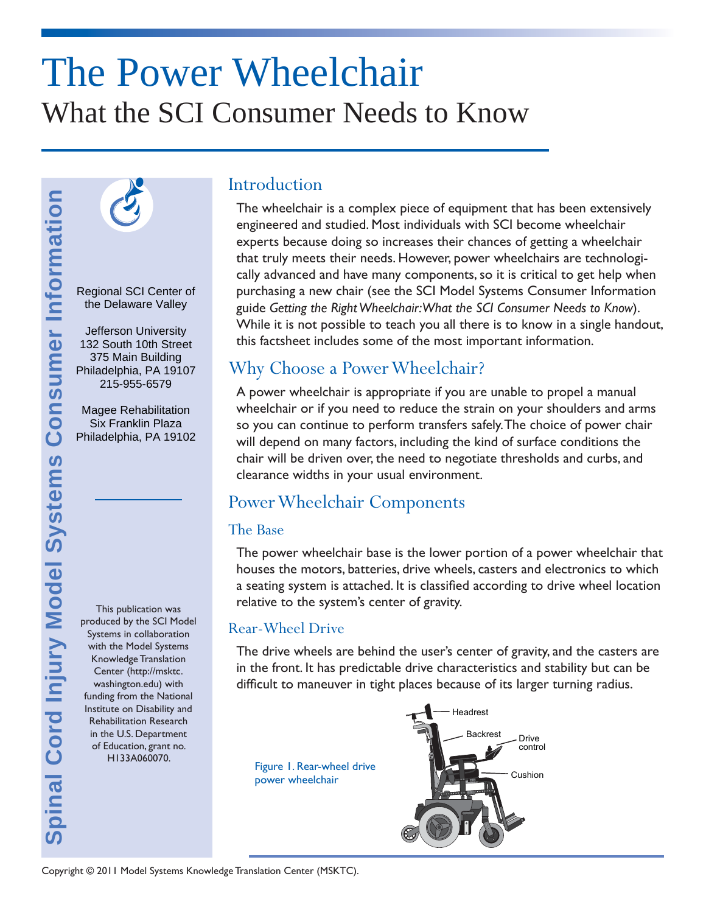# The Power Wheelchair What the SCI Consumer Needs to Know



Regional SCI Center of the Delaware Valley

Jefferson University 132 South 10th Street 375 Main Building Philadelphia, PA 19107 215-955-6579

Magee Rehabilitation Six Franklin Plaza Philadelphia, PA 19102

This publication was produced by the SCI Model Systems in collaboration with the Model Systems Knowledge Translation Center (http://msktc. washington.edu) with funding from the National Institute on Disability and Rehabilitation Research in the U.S. Department of Education, grant no. H133A060070.

### **Introduction**

The wheelchair is a complex piece of equipment that has been extensively engineered and studied. Most individuals with SCI become wheelchair experts because doing so increases their chances of getting a wheelchair that truly meets their needs. However, power wheelchairs are technologically advanced and have many components, so it is critical to get help when purchasing a new chair (see the SCI Model Systems Consumer Information guide *Getting the Right Wheelchair: What the SCI Consumer Needs to Know*). While it is not possible to teach you all there is to know in a single handout, this factsheet includes some of the most important information.

## Why Choose a Power Wheelchair?

A power wheelchair is appropriate if you are unable to propel a manual wheelchair or if you need to reduce the strain on your shoulders and arms so you can continue to perform transfers safely. The choice of power chair will depend on many factors, including the kind of surface conditions the chair will be driven over, the need to negotiate thresholds and curbs, and clearance widths in your usual environment.

# Power Wheelchair Components

#### The Base

The power wheelchair base is the lower portion of a power wheelchair that houses the motors, batteries, drive wheels, casters and electronics to which a seating system is attached. It is classified according to drive wheel location relative to the system's center of gravity.

#### Rear-Wheel Drive

The drive wheels are behind the user's center of gravity, and the casters are in the front. It has predictable drive characteristics and stability but can be difficult to maneuver in tight places because of its larger turning radius.

Figure 1. Rear-wheel drive power wheelchair

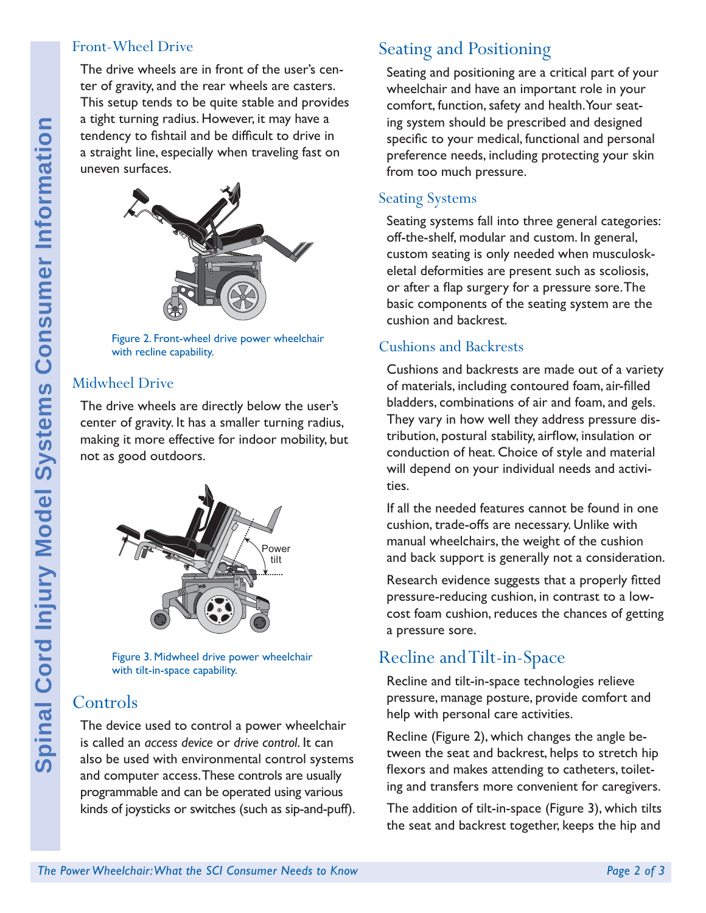#### Front-Wheel Drive

The drive wheels are in front of the user's center of gravity, and the rear wheels are casters. This setup tends to be quite stable and provides a tight turning radius. However, it may have a tendency to fishtail and be difficult to drive in a straight line, especially when traveling fast on uneven surfaces.



Figure 2. Front-wheel drive power wheelchair with recline capability.

#### Midwheel Drive

The drive wheels are directly below the user's center of gravity. It has a smaller turning radius, making it more effective for indoor mobility, but not as good outdoors.



Figure 3. Midwheel drive power wheelchair with tilt-in-space capability.

# Controls

The device used to control a power wheelchair is called an *access device* or *drive control*. It can also be used with environmental control systems and computer access. These controls are usually programmable and can be operated using various kinds of joysticks or switches (such as sip-and-puff).

# Seating and Positioning

Seating and positioning are a critical part of your wheelchair and have an important role in your comfort, function, safety and health. Your seating system should be prescribed and designed specific to your medical, functional and personal preference needs, including protecting your skin from too much pressure.

#### Seating Systems

Seating systems fall into three general categories: off-the-shelf, modular and custom. In general, custom seating is only needed when musculoskeletal deformities are present such as scoliosis, or after a flap surgery for a pressure sore. The basic components of the seating system are the cushion and backrest.

#### Cushions and Backrests

Cushions and backrests are made out of a variety of materials, including contoured foam, air-filled bladders, combinations of air and foam, and gels. They vary in how well they address pressure distribution, postural stability, airflow, insulation or conduction of heat. Choice of style and material will depend on your individual needs and activities.

If all the needed features cannot be found in one cushion, trade-offs are necessary. Unlike with manual wheelchairs, the weight of the cushion and back support is generally not a consideration.

Research evidence suggests that a properly fitted pressure-reducing cushion, in contrast to a lowcost foam cushion, reduces the chances of getting a pressure sore.

# Recline and Tilt-in-Space

Recline and tilt-in-space technologies relieve pressure, manage posture, provide comfort and help with personal care activities.

Recline (Figure 2), which changes the angle between the seat and backrest, helps to stretch hip flexors and makes attending to catheters, toileting and transfers more convenient for caregivers.

The addition of tilt-in-space (Figure 3), which tilts the seat and backrest together, keeps the hip and